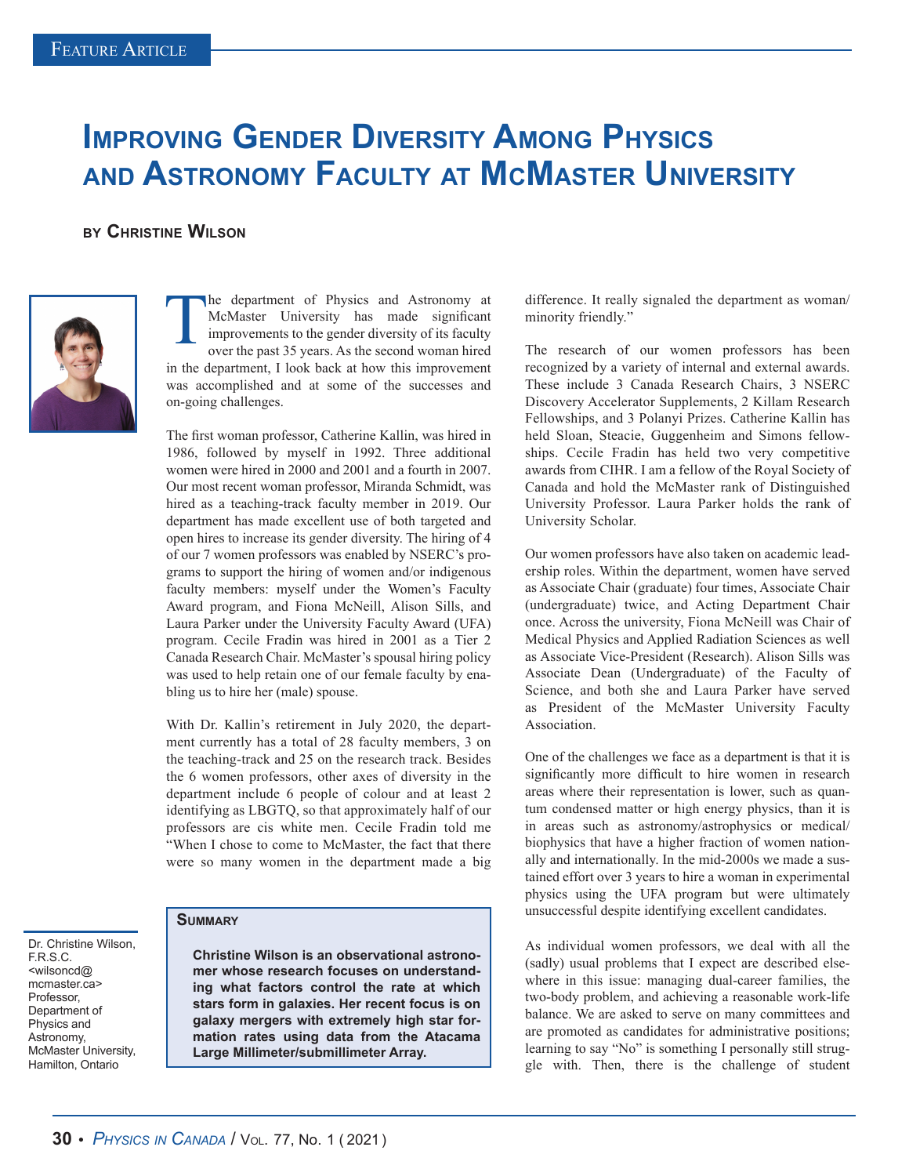## **IMPROVING GENDER DIVERSITY AMONG PHYSICS and Astronomy Faculty at McMaster University**

## **by Christine Wilson**



Dr. Christine Wilson,

F.R.S.C. <wilsoncd@ mcmaster.ca> **Professor** Department of Physics and Astronomy, McMaster University, Hamilton, Ontario

The department of Physics and Astronomy at McMaster University has made significant improvements to the gender diversity of its faculty over the past 35 years. As the second woman hired McMaster University has made significant improvements to the gender diversity of its faculty over the past 35 years. As the second woman hired in the department, I look back at how this improvement was accomplished and at some of the successes and on-going challenges.

The first woman professor, Catherine Kallin, was hired in 1986, followed by myself in 1992. Three additional women were hired in 2000 and 2001 and a fourth in 2007. Our most recent woman professor, Miranda Schmidt, was hired as a teaching-track faculty member in 2019. Our department has made excellent use of both targeted and open hires to increase its gender diversity. The hiring of 4 of our 7 women professors was enabled by NSERC's programs to support the hiring of women and/or indigenous faculty members: myself under the Women's Faculty Award program, and Fiona McNeill, Alison Sills, and Laura Parker under the University Faculty Award (UFA) program. Cecile Fradin was hired in 2001 as a Tier 2 Canada Research Chair. McMaster's spousal hiring policy was used to help retain one of our female faculty by enabling us to hire her (male) spouse.

With Dr. Kallin's retirement in July 2020, the department currently has a total of 28 faculty members, 3 on the teaching-track and 25 on the research track. Besides the 6 women professors, other axes of diversity in the department include 6 people of colour and at least 2 identifying as LBGTQ, so that approximately half of our professors are cis white men. Cecile Fradin told me "When I chose to come to McMaster, the fact that there were so many women in the department made a big

**Summary**

**Christine Wilson is an observational astronomer whose research focuses on understanding what factors control the rate at which stars form in galaxies. Her recent focus is on galaxy mergers with extremely high star formation rates using data from the Atacama Large Millimeter/submillimeter Array.**

difference. It really signaled the department as woman/ minority friendly."

The research of our women professors has been recognized by a variety of internal and external awards. These include 3 Canada Research Chairs, 3 NSERC Discovery Accelerator Supplements, 2 Killam Research Fellowships, and 3 Polanyi Prizes. Catherine Kallin has held Sloan, Steacie, Guggenheim and Simons fellowships. Cecile Fradin has held two very competitive awards from CIHR. I am a fellow of the Royal Society of Canada and hold the McMaster rank of Distinguished University Professor. Laura Parker holds the rank of University Scholar.

Our women professors have also taken on academic leadership roles. Within the department, women have served as Associate Chair (graduate) four times, Associate Chair (undergraduate) twice, and Acting Department Chair once. Across the university, Fiona McNeill was Chair of Medical Physics and Applied Radiation Sciences as well as Associate Vice-President (Research). Alison Sills was Associate Dean (Undergraduate) of the Faculty of Science, and both she and Laura Parker have served as President of the McMaster University Faculty Association.

One of the challenges we face as a department is that it is significantly more difficult to hire women in research areas where their representation is lower, such as quantum condensed matter or high energy physics, than it is in areas such as astronomy/astrophysics or medical/ biophysics that have a higher fraction of women nationally and internationally. In the mid-2000s we made a sustained effort over 3 years to hire a woman in experimental physics using the UFA program but were ultimately unsuccessful despite identifying excellent candidates.

As individual women professors, we deal with all the (sadly) usual problems that I expect are described elsewhere in this issue: managing dual-career families, the two-body problem, and achieving a reasonable work-life balance. We are asked to serve on many committees and are promoted as candidates for administrative positions; learning to say "No" is something I personally still struggle with. Then, there is the challenge of student